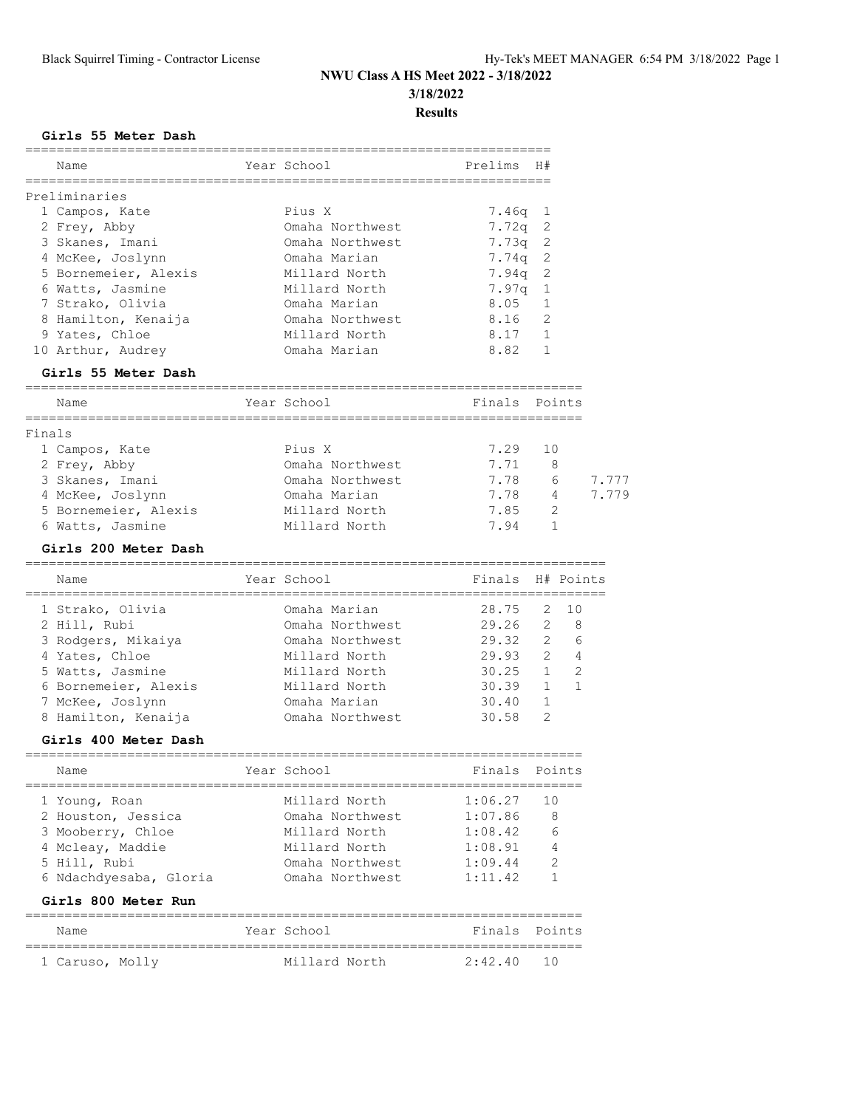#### **Girls 55 Meter Dash**

| Name                                                          | Year School                        | Prelims          | H#             |              |
|---------------------------------------------------------------|------------------------------------|------------------|----------------|--------------|
| Preliminaries                                                 |                                    |                  |                |              |
| 1 Campos, Kate                                                | Pius X                             | $7.46q$ 1        |                |              |
| 2 Frey, Abby                                                  | Omaha Northwest                    | $7.72q$ 2        |                |              |
| 3 Skanes, Imani                                               | Omaha Northwest                    | $7.73q$ 2        |                |              |
| 4 McKee, Joslynn                                              | Omaha Marian                       | $7.74q$ 2        |                |              |
| 5 Bornemeier, Alexis                                          | Millard North                      | $7.94q$ 2        |                |              |
| 6 Watts, Jasmine                                              | Millard North                      | 7.97q            | <sup>1</sup>   |              |
| 7 Strako, Olivia                                              | Omaha Marian                       | 8.05             | $\mathbf{1}$   |              |
| 8 Hamilton, Kenaija                                           | Omaha Northwest                    | 8.16             | 2              |              |
| 9 Yates, Chloe                                                | Millard North                      | 8.17             | <sup>-</sup> 1 |              |
| 10 Arthur, Audrey                                             | Omaha Marian                       | 8.82             | 1              |              |
| Girls 55 Meter Dash<br>______________________________________ |                                    |                  |                |              |
| Name                                                          | Year School                        | Finals Points    |                |              |
| Finals                                                        |                                    |                  |                |              |
| 1 Campos, Kate                                                | Pius X                             | 7.29             | 10             |              |
| 2 Frey, Abby                                                  | Omaha Northwest                    | 7.71             | 8              |              |
| 3 Skanes, Imani                                               | Omaha Northwest                    | 7.78             | 6              | 7.777        |
| 4 McKee, Joslynn                                              | Omaha Marian                       | 7.78             | 4              | 7.779        |
| 5 Bornemeier, Alexis                                          | Millard North                      | 7.85             | 2              |              |
| 6 Watts, Jasmine                                              | Millard North                      | 7.94             | $\mathbf{1}$   |              |
| Girls 200 Meter Dash                                          |                                    |                  |                |              |
| Name                                                          | Year School                        | Finals H# Points |                |              |
| 1 Strako, Olivia                                              | Omaha Marian                       | 28.75            | 2              | 10           |
| 2 Hill, Rubi                                                  | Omaha Northwest                    | 29.26            | $\mathbf{2}$   | 8            |
| 3 Rodgers, Mikaiya                                            | Omaha Northwest                    | 29.32            | 2              | 6            |
| 4 Yates, Chloe                                                | Millard North                      | 29.93            | $\mathbf{2}$   | 4            |
| 5 Watts, Jasmine                                              | Millard North                      | 30.25            | 1              | 2            |
| 6 Bornemeier, Alexis                                          | Millard North                      | 30.39            | $\mathbf{1}$   | $\mathbf{1}$ |
| 7 McKee, Joslynn                                              | Omaha Marian                       | 30.40            | $\mathbf{1}$   |              |
| 8 Hamilton, Kenaija                                           | Omaha Northwest                    | 30.58            | 2              |              |
| Girls 400 Meter Dash                                          |                                    |                  |                |              |
| Name                                                          | Year School                        | Finals Points    |                |              |
| 1 Young, Roan                                                 | Millard North                      | 1:06.27          | 10             |              |
| 2 Houston, Jessica                                            | Omaha Northwest                    | 1:07.86          | 8              |              |
| 3 Mooberry, Chloe                                             | Millard North                      | 1:08.42          | 6              |              |
| 4 Mcleay, Maddie                                              | Millard North                      | 1:08.91          | 4              |              |
| 5 Hill, Rubi                                                  | Omaha Northwest                    | 1:09.44          | 2              |              |
| 6 Ndachdyesaba, Gloria                                        | Omaha Northwest                    | 1:11.42          | 1              |              |
| Girls 800 Meter Run                                           |                                    |                  |                |              |
| ===================================<br>Name                   | ,,,,,,,,,,,,,,,,,,,<br>Year School | Finals Points    |                |              |
| 1 Caruso, Molly                                               | Millard North                      | 2:42.40          | 10             |              |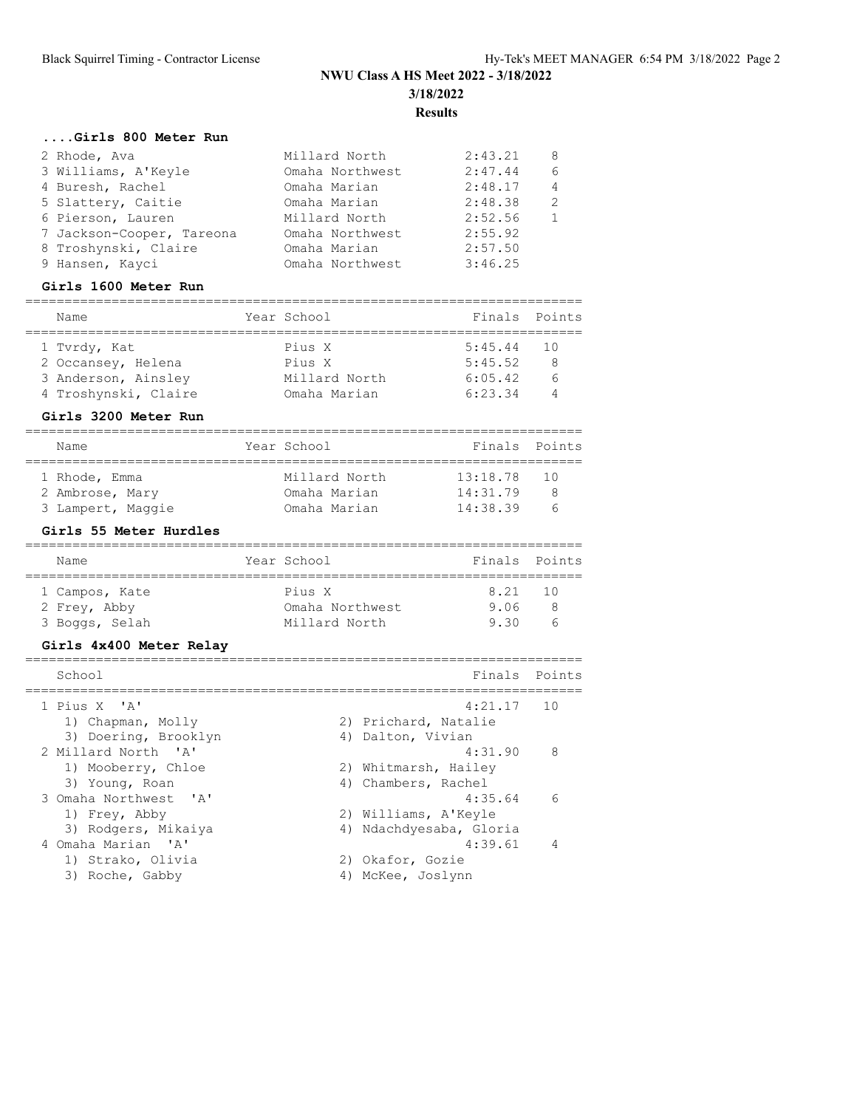#### **....Girls 800 Meter Run**

| 2 Rhode, Ava              | Millard North   | 2:43.21 | 8 |
|---------------------------|-----------------|---------|---|
| 3 Williams, A'Keyle       | Omaha Northwest | 2:47.44 | 6 |
| 4 Buresh, Rachel          | Omaha Marian    | 2:48.17 | 4 |
| 5 Slattery, Caitie        | Omaha Marian    | 2:48.38 | 2 |
| 6 Pierson, Lauren         | Millard North   | 2:52.56 |   |
| 7 Jackson-Cooper, Tareona | Omaha Northwest | 2:55.92 |   |
| 8 Troshynski, Claire      | Omaha Marian    | 2:57.50 |   |
| 9 Hansen, Kayci           | Omaha Northwest | 3:46.25 |   |
|                           |                 |         |   |

### **Girls 1600 Meter Run**

| Name                 |  | Year School   | Finals Points |   |  |  |
|----------------------|--|---------------|---------------|---|--|--|
|                      |  |               |               |   |  |  |
| 1 Tvrdy, Kat         |  | Pius X        | $5:45.44$ 10  |   |  |  |
| 2 Occansey, Helena   |  | Pius X        | 5:45.52       | 8 |  |  |
| 3 Anderson, Ainsley  |  | Millard North | 6:05.42       | 6 |  |  |
| 4 Troshynski, Claire |  | Omaha Marian  | 6:23.34       |   |  |  |

#### **Girls 3200 Meter Run**

| Name              |  | Year School   | Finals Points |    |  |  |  |
|-------------------|--|---------------|---------------|----|--|--|--|
|                   |  |               |               |    |  |  |  |
| 1 Rhode, Emma     |  | Millard North | 13:18.78      | 10 |  |  |  |
| 2 Ambrose, Mary   |  | Omaha Marian  | 14:31.79      | 8  |  |  |  |
| 3 Lampert, Maggie |  | Omaha Marian  | 14:38.39      | h  |  |  |  |

### **Girls 55 Meter Hurdles**

| Name                                             | Year School                                | Finals Points          |  |
|--------------------------------------------------|--------------------------------------------|------------------------|--|
| 1 Campos, Kate<br>2 Frey, Abby<br>3 Boggs, Selah | Pius X<br>Omaha Northwest<br>Millard North | 8.21 10<br>9.06<br>930 |  |

### **Girls 4x400 Meter Relay**

| School                 | Finals                  | Points |
|------------------------|-------------------------|--------|
| 1 Pius X 'A'           | 4:21.17                 | 10     |
| 1) Chapman, Molly      | 2) Prichard, Natalie    |        |
| 3) Doering, Brooklyn   | 4) Dalton, Vivian       |        |
| 2 Millard North 'A'    | 4:31.90                 | 8      |
| 1) Mooberry, Chloe     | 2) Whitmarsh, Hailey    |        |
| 3) Young, Roan         | 4) Chambers, Rachel     |        |
| 3 Omaha Northwest. 'A' | 4:35.64                 | 6      |
| 1) Frey, Abby          | 2) Williams, A'Keyle    |        |
| 3) Rodgers, Mikaiya    | 4) Ndachdyesaba, Gloria |        |
| 4 Omaha Marian 'A'     | 4:39.61                 | 4      |
| 1) Strako, Olivia      | 2) Okafor, Gozie        |        |
| 3) Roche, Gabby        | 4) McKee, Joslynn       |        |
|                        |                         |        |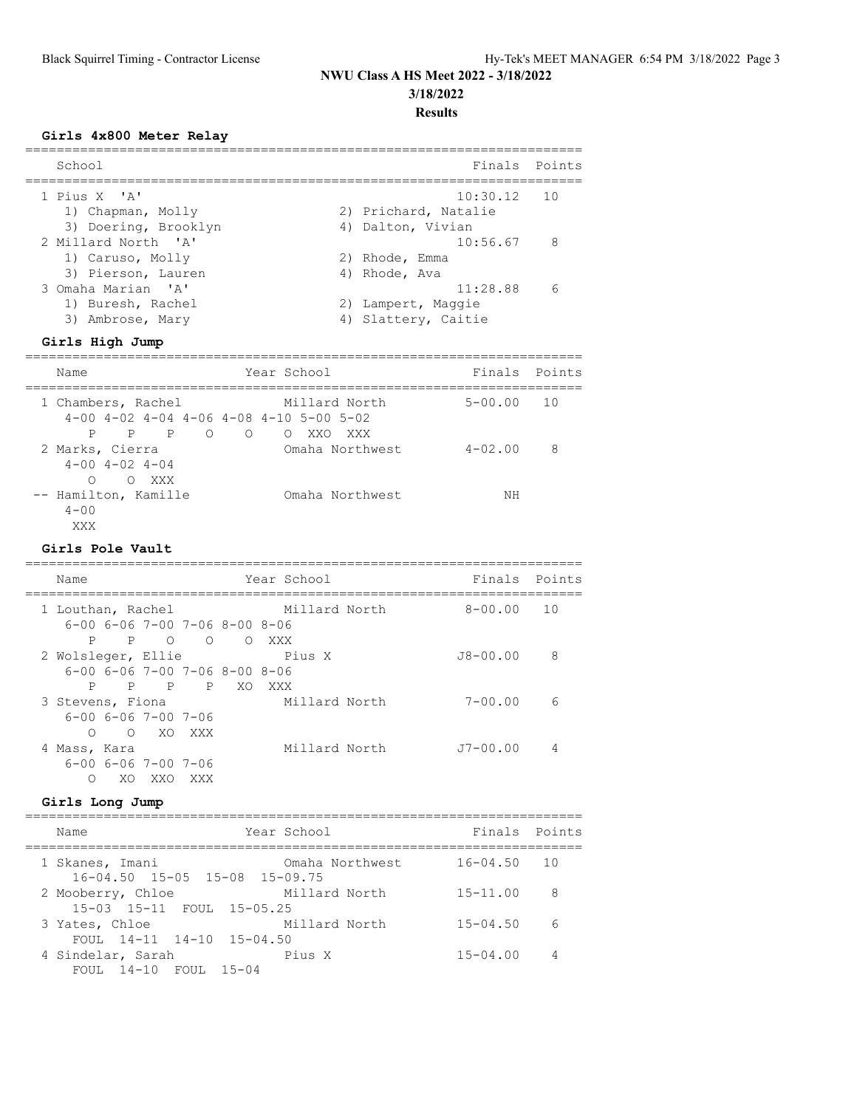### **Girls 4x800 Meter Relay**

| School                                                                               |                                                                        | Finals Points |
|--------------------------------------------------------------------------------------|------------------------------------------------------------------------|---------------|
| 1 Pius X 'A'<br>1) Chapman, Molly                                                    | $10:30.12$ 10<br>2) Prichard, Natalie                                  |               |
| 3) Doering, Brooklyn<br>2 Millard North 'A'<br>1) Caruso, Molly                      | 4) Dalton, Vivian<br>$10:56.67$ 8<br>2) Rhode, Emma                    |               |
| 3) Pierson, Lauren<br>3 Omaha Marian 'A'<br>1) Buresh, Rachel<br>Ambrose, Mary<br>3) | 4) Rhode, Ava<br>11:28.88<br>2) Lampert, Maggie<br>4) Slattery, Caitie |               |
|                                                                                      |                                                                        |               |

## **Girls High Jump**

| Name                                                                                                                    | Year School                         | Finals Points  |   |
|-------------------------------------------------------------------------------------------------------------------------|-------------------------------------|----------------|---|
| 1 Chambers, Rachel<br>$4-00$ $4-02$ $4-04$ $4-06$ $4-08$ $4-10$ $5-00$ $5-02$<br>$P$ 0<br>$\mathbf{P}$<br>$\Omega$<br>P | Millard North<br>XXO XXX<br>$\circ$ | $5 - 00.00$ 10 |   |
| 2 Marks, Cierra<br>$4 - 00$ $4 - 02$ $4 - 04$<br>∩<br>O XXX                                                             | Omaha Northwest                     | $4 - 02.00$    | 8 |
| -- Hamilton, Kamille<br>$4 - 00$<br>XXX                                                                                 | Omaha Northwest                     | NΗ             |   |

### **Girls Pole Vault**

| Name                    |                                                                       |                |     |        | Year School |               | Finals Points  |   |
|-------------------------|-----------------------------------------------------------------------|----------------|-----|--------|-------------|---------------|----------------|---|
| 1 Louthan, Rachel       | $6-00$ $6-06$ $7-00$ $7-06$ $8-00$ $8-06$                             |                |     |        |             | Millard North | $8 - 00.00$ 10 |   |
| P<br>2 Wolsleger, Ellie | $\overline{P}$                                                        | $\overline{O}$ |     | O OXXX | Pius X      |               | $J8 - 00.00$   | 8 |
| P                       | $6 - 00$ $6 - 06$ $7 - 00$ $7 - 06$ $8 - 00$ $8 - 06$<br>$\mathsf{P}$ |                | P P | XO.    | XXX         |               |                |   |
| 3 Stevens, Fiona        | $6 - 00$ $6 - 06$ $7 - 00$ $7 - 06$                                   |                |     |        |             | Millard North | $7 - 00.00$    | 6 |
| ∩<br>4 Mass, Kara       | $6 - 00$ $6 - 06$ $7 - 00$ $7 - 06$                                   | O XO XXX       |     |        |             | Millard North | $J7 - 00.00$   | 4 |
| ∩                       | XO.                                                                   | XXO            | XXX |        |             |               |                |   |

### **Girls Long Jump**

| Name                                                             | Year School     | Finals Points   |     |
|------------------------------------------------------------------|-----------------|-----------------|-----|
| 1 Skanes, Imani<br>$16 - 04.50$ $15 - 05$ $15 - 08$ $15 - 09.75$ | Omaha Northwest | $16 - 04.50$ 10 |     |
| 2 Mooberry, Chloe                                                | Millard North   | $15 - 11.00$    | - 8 |
| 15-03 15-11 FOUL 15-05.25<br>3 Yates, Chloe                      | Millard North   | $15 - 04.50$    | 6   |
| FOUL $14-11$ $14-10$ $15-04.50$<br>4 Sindelar, Sarah             | Pius X          | $15 - 04.00$    | 4   |
| FOUL 14-10 FOUL 15-04                                            |                 |                 |     |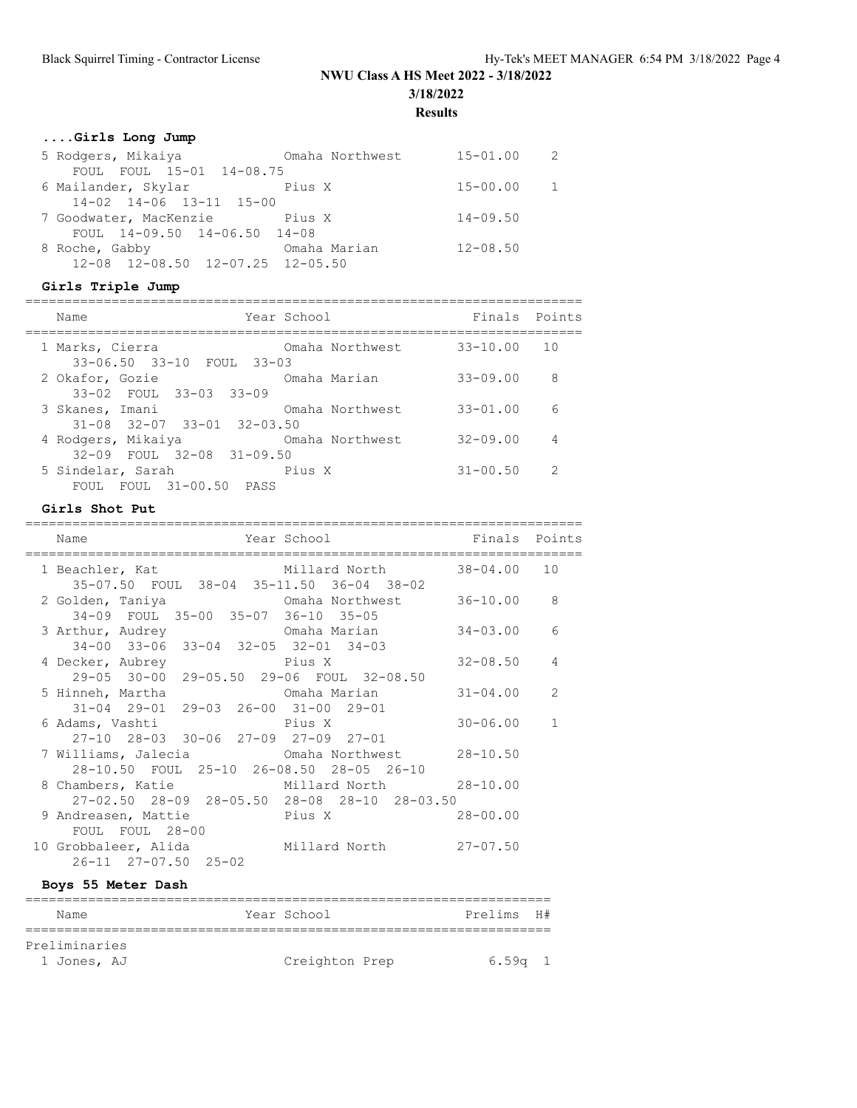# **NWU Class A HS Meet 2022 - 3/18/2022 3/18/2022**

**Results**

## **....Girls Long Jump**

| 5 Rodgers, Mikaiya                       | Omaha Northwest | $15 - 01.00$   | -2 |
|------------------------------------------|-----------------|----------------|----|
| FOUL FOUL 15-01 14-08.75                 |                 |                |    |
| 6 Mailander, Skylar                      | Pius X          | $15 - 00.00$ 1 |    |
| 14-02 14-06 13-11 15-00                  |                 |                |    |
| 7 Goodwater, MacKenzie bius X            |                 | $14 - 09.50$   |    |
| FOUL 14-09.50 14-06.50 14-08             |                 |                |    |
| 8 Roche, Gabby                           | Omaha Marian    | $12 - 08.50$   |    |
| $12-08$ $12-08.50$ $12-07.25$ $12-05.50$ |                 |                |    |
|                                          |                 |                |    |

## **Girls Triple Jump**

| Name                                                  | Year School     | Finals Points |     |
|-------------------------------------------------------|-----------------|---------------|-----|
| 1 Marks, Cierra<br>33-06.50 33-10 FOUL 33-03          | Omaha Northwest | 33-10.00      | 10  |
| 2 Okafor, Gozie<br>33-02 FOUL 33-03 33-09             | Omaha Marian    | $33 - 09.00$  | - 8 |
| 3 Skanes, Imani<br>$31-08$ $32-07$ $33-01$ $32-03.50$ | Omaha Northwest | $33 - 01.00$  | 6   |
| 4 Rodgers, Mikaiya<br>32-09 FOUL 32-08 31-09.50       | Omaha Northwest | $32 - 09.00$  | 4   |
| 5 Sindelar, Sarah<br>FOUL FOUL 31-00.50 PASS          | Pius X          | $31 - 00.50$  | -2  |

### **Girls Shot Put**

| Millard North<br>$38 - 04.00$ 10<br>1 Beachler, Kat<br>35-07.50 FOUL 38-04 35-11.50 36-04 38-02<br>$36 - 10.00$ 8<br>2 Golden, Taniya                 Omaha Northwest |              |
|-----------------------------------------------------------------------------------------------------------------------------------------------------------------------|--------------|
|                                                                                                                                                                       |              |
|                                                                                                                                                                       |              |
| 34-09 FOUL 35-00 35-07 36-10 35-05<br>3 Arthur, Audrey Comaha Marian<br>$34 - 03.00$                                                                                  | 6            |
| 34-00 33-06 33-04 32-05 32-01 34-03<br>4 Decker, Aubrey Pius X<br>$32 - 08.50$                                                                                        | 4            |
| 29-05 30-00 29-05.50 29-06 FOUL 32-08.50<br>5 Hinneh, Martha (5 Amaha Marian)<br>$31 - 04.00$<br>31-04 29-01 29-03 26-00 31-00 29-01                                  | 2            |
| $30 - 06.00$<br>27-10 28-03 30-06 27-09 27-09 27-01                                                                                                                   | $\mathbf{1}$ |
| 7 Williams, Jalecia Comaha Northwest 28-10.50<br>28-10.50 FOUL 25-10 26-08.50 28-05 26-10                                                                             |              |
| 8 Chambers, Katie Millard North 28-10.00<br>$27-02.50$ $28-09$ $28-05.50$ $28-08$ $28-10$ $28-03.50$                                                                  |              |
| 9 Andreasen, Mattie Pius X<br>$28 - 00.00$<br>FOUL FOUL 28-00                                                                                                         |              |
| 10 Grobbaleer, Alida           Millard North           27-07.50<br>$26 - 11$ $27 - 07.50$ $25 - 02$                                                                   |              |

### **Boys 55 Meter Dash**

| Name          |  |  | Year School    |  | Prelims H# |  |  |  |  |
|---------------|--|--|----------------|--|------------|--|--|--|--|
|               |  |  |                |  |            |  |  |  |  |
| Preliminaries |  |  |                |  |            |  |  |  |  |
| 1 Jones, AJ   |  |  | Creighton Prep |  | 6.59a      |  |  |  |  |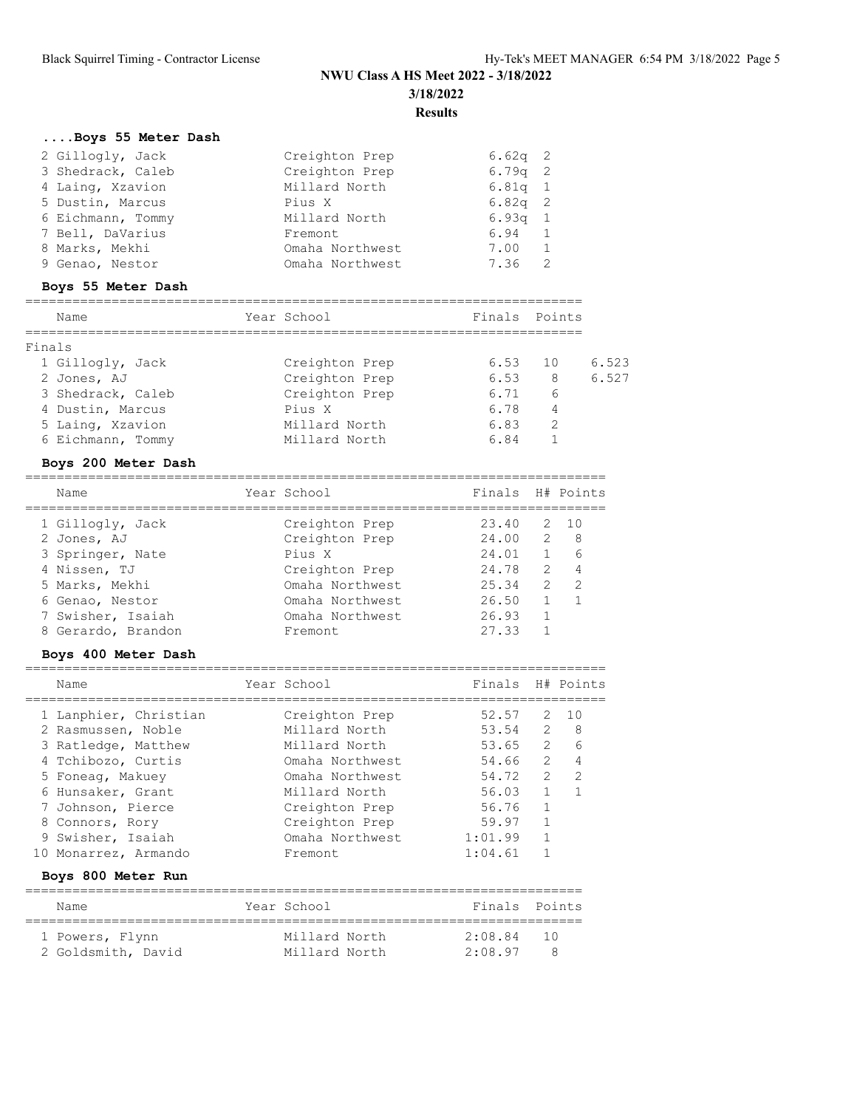|        | Boys 55 Meter Dash    |                 |                  |                |                  |
|--------|-----------------------|-----------------|------------------|----------------|------------------|
|        | 2 Gillogly, Jack      | Creighton Prep  | $6.62q$ 2        |                |                  |
|        | 3 Shedrack, Caleb     | Creighton Prep  | $6.79q$ 2        |                |                  |
|        | 4 Laing, Xzavion      | Millard North   | $6.81q$ 1        |                |                  |
|        | 5 Dustin, Marcus      | Pius X          | $6.82q$ 2        |                |                  |
|        | 6 Eichmann, Tommy     | Millard North   | 6.93q 1          |                |                  |
|        | 7 Bell, DaVarius      | Fremont         | 6.94             | -1             |                  |
|        | 8 Marks, Mekhi        | Omaha Northwest | 7.00             | 1              |                  |
|        | 9 Genao, Nestor       | Omaha Northwest | 7.36             | 2              |                  |
|        | Boys 55 Meter Dash    |                 |                  |                |                  |
|        | Name                  | Year School     | Finals Points    |                |                  |
| Finals |                       |                 |                  |                |                  |
|        | 1 Gillogly, Jack      | Creighton Prep  | 6.53             | 10             | 6.523            |
|        | 2 Jones, AJ           | Creighton Prep  | $6.53$ 8         |                | 6.527            |
|        | 3 Shedrack, Caleb     | Creighton Prep  | 6.71             |                | 6                |
|        | 4 Dustin, Marcus      | Pius X          | 6.71 6<br>6.78 4 |                |                  |
|        | 5 Laing, Xzavion      | Millard North   | 6.83             |                | 2                |
|        | 6 Eichmann, Tommy     | Millard North   | 6.84             | $\mathbf{1}$   |                  |
|        | Boys 200 Meter Dash   |                 |                  |                |                  |
|        | Name                  | Year School     | Finals H# Points |                |                  |
|        | 1 Gillogly, Jack      | Creighton Prep  | 23.40            | 2              | 10               |
|        | 2 Jones, AJ           | Creighton Prep  | 24.00            |                | $2^{\circ}$<br>8 |
|        | 3 Springer, Nate      | Pius X          | 24.01            |                | $1 \quad$<br>6   |
|        | 4 Nissen, TJ          | Creighton Prep  | 24.78 2 4        |                |                  |
|        | 5 Marks, Mekhi        | Omaha Northwest | 25.34            | $\overline{2}$ | 2                |
|        | 6 Genao, Nestor       | Omaha Northwest | 26.50            | 1              | $\mathbf{1}$     |
|        | 7 Swisher, Isaiah     | Omaha Northwest | 26.93            | 1              |                  |
|        | 8 Gerardo, Brandon    | Fremont         | 27.33            | $\mathbf{1}$   |                  |
|        | Boys 400 Meter Dash   |                 |                  |                |                  |
|        | Name                  | Year School     | Finals H# Points |                |                  |
|        | 1 Lanphier, Christian | Creighton Prep  | 52.57            |                | 2 10             |
|        | 2 Rasmussen, Noble    | Millard North   | 53.54            |                | 2 8              |
|        | 3 Ratledge, Matthew   | Millard North   | 53.65            |                | $2\overline{6}$  |
|        | 4 Tchibozo, Curtis    | Omaha Northwest | 54.66 2          |                | $\overline{4}$   |
|        | 5 Foneag, Makuey      | Omaha Northwest | 54.72            | 2              | 2                |
|        | 6 Hunsaker, Grant     | Millard North   | 56.03            | 1              | $\mathbf 1$      |
|        | 7 Johnson, Pierce     | Creighton Prep  | 56.76            | $\mathbf{1}$   |                  |

## **Boys 800 Meter Run**

| Name               | Year School   | Finals Points |           |
|--------------------|---------------|---------------|-----------|
| 1 Powers, Flynn    | Millard North | 2:08.84       | $10^{-1}$ |
| 2 Goldsmith, David | Millard North | 2:08.97       | 8         |

 8 Connors, Rory Creighton Prep 59.97 1 9 Swisher, Isaiah Omaha Northwest 1:01.99 1 10 Monarrez, Armando Fremont 1:04.61 1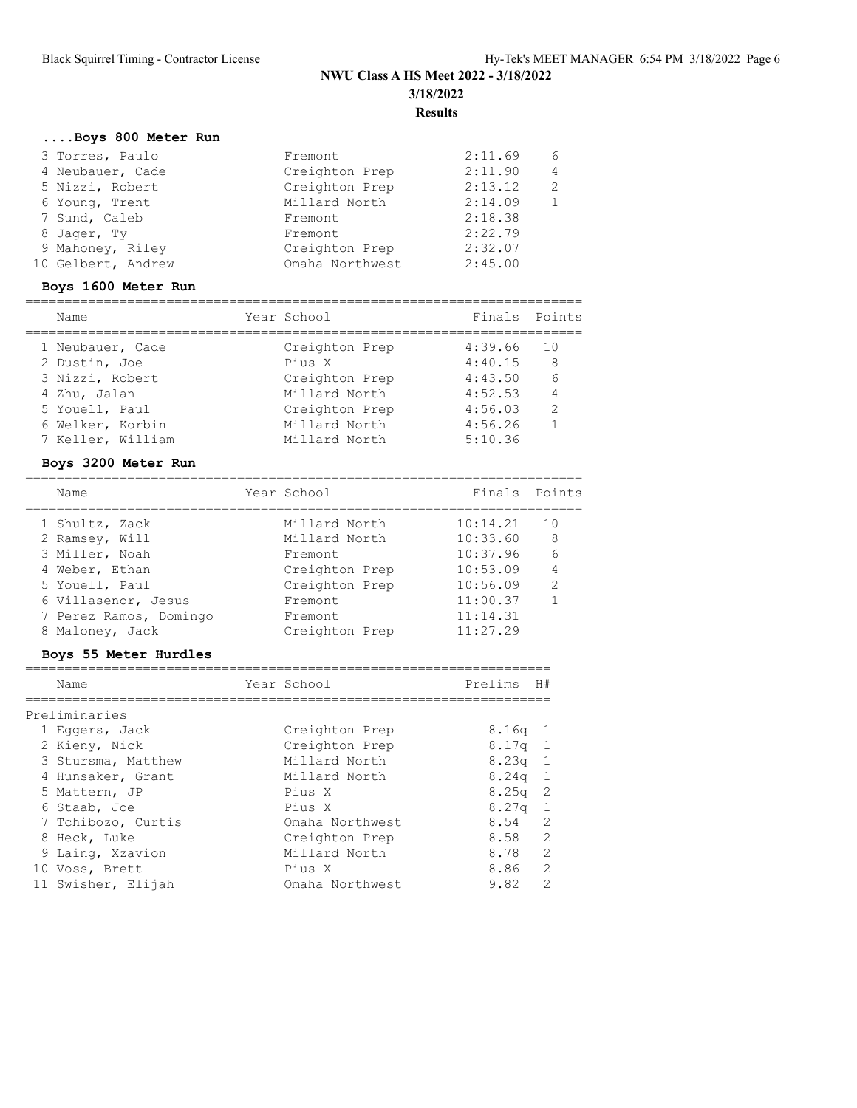## **....Boys 800 Meter Run**

| 3 Torres, Paulo    | Fremont         | 2:11.69 | 6 |
|--------------------|-----------------|---------|---|
| 4 Neubauer, Cade   | Creighton Prep  | 2:11.90 | 4 |
| 5 Nizzi, Robert    | Creighton Prep  | 2:13.12 | 2 |
| 6 Young, Trent     | Millard North   | 2:14.09 |   |
| 7 Sund, Caleb      | Fremont         | 2:18.38 |   |
| 8 Jager, Ty        | Fremont         | 2:22.79 |   |
| 9 Mahoney, Riley   | Creighton Prep  | 2:32.07 |   |
| 10 Gelbert, Andrew | Omaha Northwest | 2:45.00 |   |

# **Boys 1600 Meter Run**

| Name              | Year School    | Finals Points |                |
|-------------------|----------------|---------------|----------------|
| 1 Neubauer, Cade  | Creighton Prep | 4:39.66       | 10             |
| 2 Dustin, Joe     | Pius X         | 4:40.15       | - 8            |
| 3 Nizzi, Robert   | Creighton Prep | 4:43.50       | - 6            |
| 4 Zhu, Jalan      | Millard North  | 4:52.53       | $\overline{4}$ |
| 5 Youell, Paul    | Creighton Prep | 4:56.03       | $\overline{2}$ |
| 6 Welker, Korbin  | Millard North  | 4:56.26       |                |
| 7 Keller, William | Millard North  | 5:10.36       |                |
|                   |                |               |                |

### **Boys 3200 Meter Run**

| Name                   | Year School    | Finals Points |                |
|------------------------|----------------|---------------|----------------|
| 1 Shultz, Zack         | Millard North  | 10:14.21      | 10             |
| 2 Ramsey, Will         | Millard North  | 10:33.60      | 8 <sup>8</sup> |
| 3 Miller, Noah         | Fremont.       | 10:37.96      | -6             |
| 4 Weber, Ethan         | Creighton Prep | 10:53.09      | $\overline{4}$ |
| 5 Youell, Paul         | Creighton Prep | 10:56.09      | $\mathcal{L}$  |
| 6 Villasenor, Jesus    | Fremont.       | 11:00.37      |                |
| 7 Perez Ramos, Domingo | Fremont.       | 11:14.31      |                |
| 8 Maloney, Jack        | Creighton Prep | 11:27.29      |                |

### **Boys 55 Meter Hurdles**

| Name               | Year School     | Prelims           | H#            |
|--------------------|-----------------|-------------------|---------------|
| Preliminaries      |                 |                   |               |
| 1 Eqqers, Jack     | Creighton Prep  | 8.16a             | $\mathbf{1}$  |
| 2 Kieny, Nick      | Creighton Prep  | $8.17q$ 1         |               |
| 3 Stursma, Matthew | Millard North   | $8.23q$ 1         |               |
| 4 Hunsaker, Grant  | Millard North   | $8.24q$ 1         |               |
| 5 Mattern, JP      | Pius X          | 8.25 <sub>q</sub> | - 2           |
| 6 Staab, Joe       | Pius X          | $8.27q$ 1         |               |
| 7 Tchibozo, Curtis | Omaha Northwest | 8.54 2            |               |
| 8 Heck, Luke       | Creighton Prep  | 8.58 2            |               |
| 9 Laing, Xzavion   | Millard North   | 8.78 2            |               |
| 10 Voss, Brett     | Pius X          | 8.86 2            |               |
| 11 Swisher, Elijah | Omaha Northwest | 9.82              | $\mathcal{L}$ |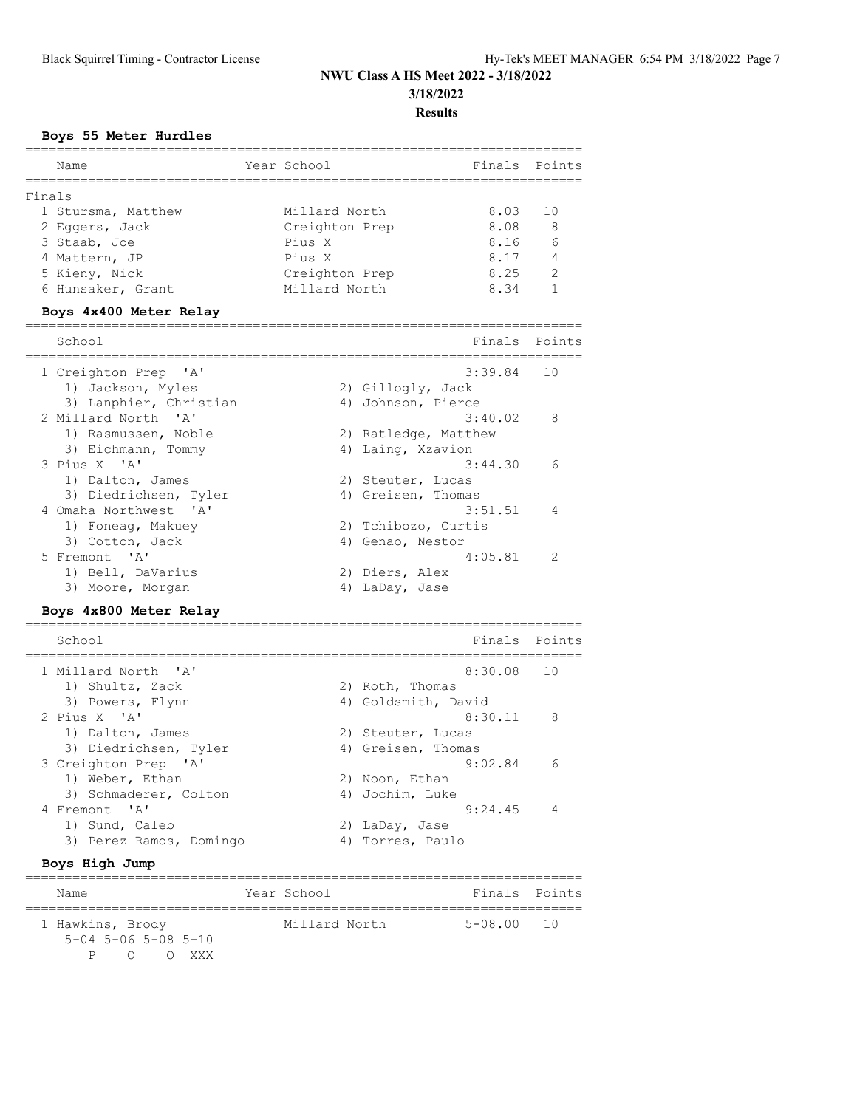#### **Boys 55 Meter Hurdles**

| Name                                                  | Year School    | Finals                                |      | Points       |
|-------------------------------------------------------|----------------|---------------------------------------|------|--------------|
| Finals                                                |                |                                       |      |              |
| 1 Stursma, Matthew                                    | Millard North  |                                       | 8.03 | 10           |
| 2 Eggers, Jack                                        | Creighton Prep |                                       | 8.08 | 8            |
| 3 Staab, Joe                                          | Pius X         |                                       | 8.16 | 6            |
| 4 Mattern, JP                                         | Pius X         |                                       | 8.17 | 4            |
| 5 Kieny, Nick                                         | Creighton Prep |                                       | 8.25 | 2            |
| 6 Hunsaker, Grant                                     | Millard North  |                                       | 8.34 | $\mathbf{1}$ |
| Boys 4x400 Meter Relay<br>, _________________________ |                | ------------------------------------- |      |              |
| School                                                |                | Finals                                |      | Points       |
| =====================<br>1 Creighton Prep 'A'         |                | 3:39.84                               |      | 10           |
| 1) Jackson, Myles                                     |                | 2) Gillogly, Jack                     |      |              |
| 3) Lanphier, Christian                                |                | 4) Johnson, Pierce                    |      |              |
| 2 Millard North 'A'                                   |                | 3:40.02                               |      | 8            |
| 1) Rasmussen, Noble                                   |                | 2) Ratledge, Matthew                  |      |              |
| 3) Eichmann, Tommy                                    |                | 4) Laing, Xzavion                     |      |              |
| 3 Pius X 'A'                                          |                | 3:44.30                               |      | 6            |
| 1) Dalton, James                                      |                | 2) Steuter, Lucas                     |      |              |
| 3) Diedrichsen, Tyler                                 |                | 4) Greisen, Thomas                    |      |              |
| 4 Omaha Northwest 'A'                                 |                | 3:51.51                               |      | 4            |
| 1) Foneag, Makuey                                     |                | 2) Tchibozo, Curtis                   |      |              |
| 3) Cotton, Jack                                       |                | 4) Genao, Nestor                      |      |              |
| 5 Fremont 'A'                                         |                | 4:05.81                               |      | 2            |
| 1) Bell, DaVarius<br>3) Moore, Morgan                 |                | 2) Diers, Alex<br>4) LaDay, Jase      |      |              |
|                                                       |                |                                       |      |              |
| Boys 4x800 Meter Relay<br>=====================       |                | ===================                   |      |              |
| School                                                |                | Finals                                |      | Points       |
| 1 Millard North<br>' A'                               |                | 8:30.08                               |      | 10           |
| 1) Shultz, Zack                                       |                | 2) Roth, Thomas                       |      |              |
| 3) Powers, Flynn                                      |                | 4) Goldsmith, David                   |      |              |
| 2 Pius X 'A'                                          |                | 8:30.11                               |      | 8            |
| 1) Dalton, James                                      |                | 2) Steuter, Lucas                     |      |              |
| 3) Diedrichsen, Tyler                                 |                | 4) Greisen, Thomas                    |      |              |
| 3 Creighton Prep 'A'                                  |                | 9:02.84                               |      | 6            |
| 1) Weber, Ethan                                       |                | 2) Noon, Ethan                        |      |              |
| 3) Schmaderer, Colton                                 |                | 4) Jochim, Luke                       |      |              |
| ' A'<br>4 Fremont                                     |                | 9:24.45                               |      | 4            |
| 1) Sund, Caleb                                        |                | 2) LaDay, Jase                        |      |              |
| 3) Perez Ramos, Domingo                               |                | 4) Torres, Paulo                      |      |              |
| Boys High Jump                                        |                |                                       |      |              |

Name Year School Finals Points ======================================================================= Millard North 5-08.00 10 5-04 5-06 5-08 5-10 P O O XXX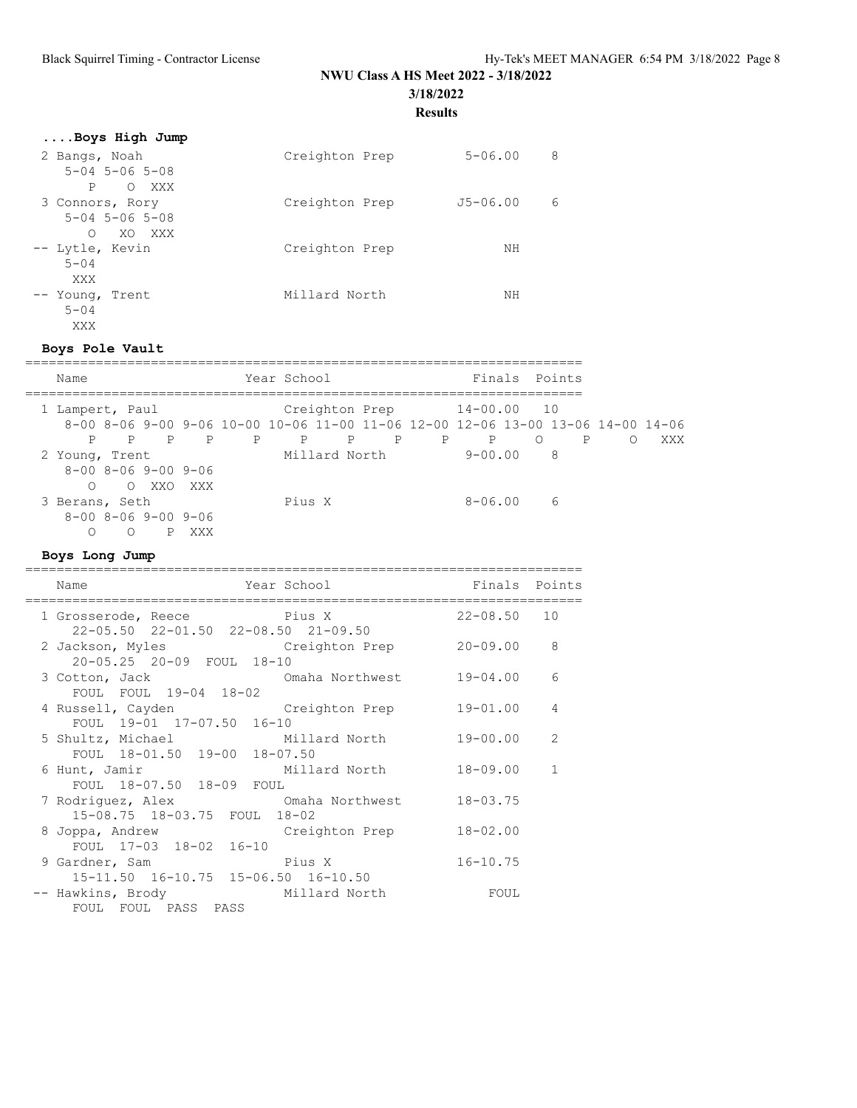## **NWU Class A HS Meet 2022 - 3/18/2022**

**3/18/2022**

**Results**

| Boys High Jump             |                |                   |
|----------------------------|----------------|-------------------|
| 2 Bangs, Noah              | Creighton Prep | 8<br>$5 - 06.00$  |
| $5 - 04$ $5 - 06$ $5 - 08$ |                |                   |
| P<br>XXX<br>$\circ$        |                |                   |
| 3 Connors, Rory            | Creighton Prep | 6<br>$J5 - 06.00$ |
| $5 - 04$ $5 - 06$ $5 - 08$ |                |                   |
| XO XXX<br>$\bigcirc$       |                |                   |
| -- Lytle, Kevin            | Creighton Prep | ΝH                |
| $5 - 04$                   |                |                   |
| XXX                        |                |                   |
| -- Young, Trent            | Millard North  | NΗ                |
| $5 - 04$                   |                |                   |
|                            |                |                   |
| XXX                        |                |                   |

### **Boys Pole Vault**

| Name            |                                     |           |                |   | Year School  |               |   |             |                                                                                 | Finals Points |              |          |     |
|-----------------|-------------------------------------|-----------|----------------|---|--------------|---------------|---|-------------|---------------------------------------------------------------------------------|---------------|--------------|----------|-----|
| 1 Lampert, Paul |                                     |           |                |   |              |               |   |             | Creighton Prep 14-00.00 10                                                      |               |              |          |     |
|                 |                                     |           |                |   |              |               |   |             | 8-00 8-06 9-00 9-06 10-00 10-06 11-00 11-06 12-00 12-06 13-00 13-06 14-00 14-06 |               |              |          |     |
| P               |                                     | P P       | $\overline{P}$ | P | $\mathbb{P}$ | P             | Ρ | $\mathbf P$ | $\mathsf{P}$                                                                    | $\circ$       | $\mathsf{P}$ | $\Omega$ | XXX |
| 2 Young, Trent  |                                     |           |                |   |              | Millard North |   |             | 9-00.00                                                                         | - 8           |              |          |     |
|                 | $8 - 00$ $8 - 06$ $9 - 00$ $9 - 06$ |           |                |   |              |               |   |             |                                                                                 |               |              |          |     |
| $\cap$          |                                     | O XXO XXX |                |   |              |               |   |             |                                                                                 |               |              |          |     |
| 3 Berans, Seth  |                                     |           |                |   | Pius X       |               |   |             | 8-06.00                                                                         | 6             |              |          |     |
|                 | $8 - 00$ $8 - 06$ $9 - 00$ $9 - 06$ |           |                |   |              |               |   |             |                                                                                 |               |              |          |     |
| ∩               | ∩                                   |           | XXX            |   |              |               |   |             |                                                                                 |               |              |          |     |

### **Boys Long Jump**

| Name                                      | Year School     | Finals Points   |              |
|-------------------------------------------|-----------------|-----------------|--------------|
|                                           |                 |                 |              |
| 1 Grosserode, Reece Pius X                |                 | $22 - 08.50$ 10 |              |
| 22-05.50 22-01.50 22-08.50 21-09.50       |                 |                 |              |
| 2 Jackson, Myles Creighton Prep           |                 | 20-09.00        | 8            |
| 20-05.25 20-09 FOUL 18-10                 |                 |                 |              |
| 3 Cotton, Jack                            | Omaha Northwest | $19 - 04.00$    | 6            |
| FOUL FOUL 19-04 18-02                     |                 |                 |              |
| 4 Russell, Cayden Creighton Prep          |                 | $19 - 01.00$    | 4            |
| FOUL 19-01 17-07.50 16-10                 |                 |                 |              |
| 5 Shultz, Michael           Millard North |                 | 19-00.00        | 2            |
| FOUL 18-01.50 19-00 18-07.50              |                 |                 |              |
| 6 Hunt, Jamir                             | Millard North   | $18 - 09.00$    | $\mathbf{1}$ |
| FOUL 18-07.50 18-09 FOUL                  |                 |                 |              |
| 7 Rodriquez, Alex                         | Omaha Northwest | $18 - 03.75$    |              |
|                                           |                 |                 |              |
| 15-08.75 18-03.75 FOUL 18-02              |                 |                 |              |
| 8 Joppa, Andrew                           | Creighton Prep  | $18 - 02.00$    |              |
| FOUL 17-03 18-02 16-10                    |                 |                 |              |
| 9 Gardner, Sam                            | Pius X          | $16 - 10.75$    |              |
| 15-11.50 16-10.75 15-06.50 16-10.50       |                 |                 |              |
| -- Hawkins, Brody                         | Millard North   | FOUL            |              |
| FOUL FOUL PASS PASS                       |                 |                 |              |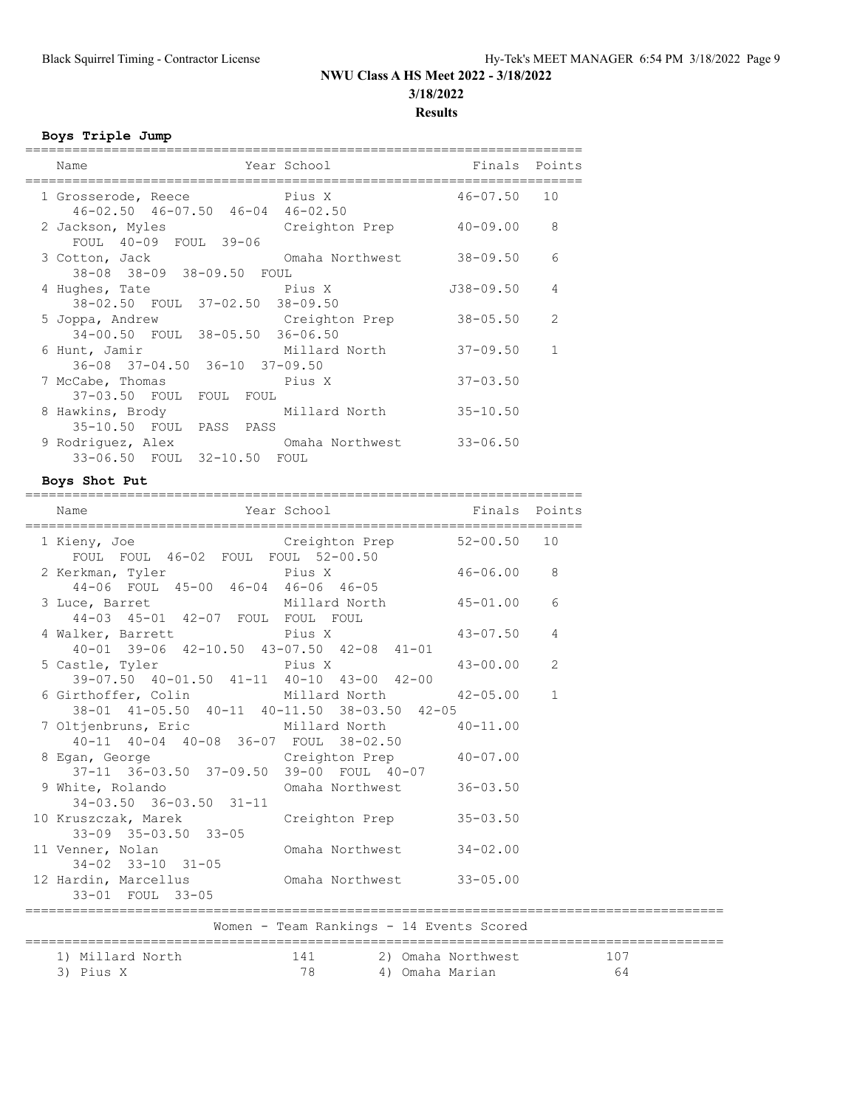# **NWU Class A HS Meet 2022 - 3/18/2022 3/18/2022**

### **Results**

### **Boys Triple Jump**

| Name                                                                                                                                                                                                                                                    | Year School     | Finals Points   |               |
|---------------------------------------------------------------------------------------------------------------------------------------------------------------------------------------------------------------------------------------------------------|-----------------|-----------------|---------------|
| en de la primera de la primera del proporcione del proporcione del proporcione del proporcione del proporcione<br>Del proporcione del proporcione del proporcione del proporcione del proporcione del proporcione del proporcion<br>1 Grosserode, Reece |                 | $46 - 07.50$ 10 |               |
| $46 - 02.50$ $46 - 07.50$ $46 - 04$ $46 - 02.50$<br>2 Jackson, Myles                                                                                                                                                                                    | Creighton Prep  | $40 - 09.00$    | 8             |
| FOUL 40-09 FOUL 39-06<br>3 Cotton, Jack                                                                                                                                                                                                                 | Omaha Northwest | $38 - 09.50$    | 6             |
| 38-08 38-09 38-09.50 FOUL<br>4 Hughes, Tate                                                                                                                                                                                                             | Pius X          | J38-09.50       | 4             |
| 38-02.50 FOUL 37-02.50 38-09.50<br>5 Joppa, Andrew                                                                                                                                                                                                      | Creighton Prep  | $38 - 05.50$    | $\mathcal{L}$ |
| 34-00.50 FOUL 38-05.50 36-06.50<br>6 Hunt, Jamir                                                                                                                                                                                                        | Millard North   | $37 - 09.50$    | $\mathbf{1}$  |
| 36-08 37-04.50 36-10 37-09.50                                                                                                                                                                                                                           |                 |                 |               |
| 7 McCabe, Thomas<br>37-03.50 FOUL FOUL FOUL                                                                                                                                                                                                             | Pius X          | $37 - 03.50$    |               |
| 8 Hawkins, Brody<br>35-10.50 FOUL PASS PASS                                                                                                                                                                                                             | Millard North   | $35 - 10.50$    |               |
| 9 Rodriquez, Alex Cmaha Northwest<br>33-06.50 FOUL 32-10.50 FOUL                                                                                                                                                                                        |                 | $33 - 06.50$    |               |
|                                                                                                                                                                                                                                                         |                 |                 |               |

### **Boys Shot Put**

| ==========<br>Name                                                                                     | Year School Tinals Points                                                    |                |                      |
|--------------------------------------------------------------------------------------------------------|------------------------------------------------------------------------------|----------------|----------------------|
| 1 Kieny, Joe Creighton Prep 52-00.50 10<br>FOUL FOUL 46-02 FOUL FOUL 52-00.50                          |                                                                              |                |                      |
| 2 Kerkman, Tyler Pius X<br>44-06 FOUL 45-00 46-04 46-06 46-05                                          |                                                                              | $46 - 06.00$ 8 |                      |
| 3 Luce, Barret Millard North 45-01.00 6<br>44-03 45-01 42-07 FOUL FOUL FOUL                            |                                                                              |                |                      |
| 4 Walker, Barrett<br>40-01 39-06 42-10.50 43-07.50 42-08 41-01                                         |                                                                              | $43 - 07.50$ 4 |                      |
| 5 Castle, Tyler Pius X<br>39-07.50 40-01.50 41-11 40-10 43-00 42-00                                    |                                                                              | $43 - 00.00$   | 2                    |
| 6 Girthoffer, Colin Millard North 42-05.00 1<br>38-01 41-05.50 40-11 40-11.50 38-03.50 42-05           |                                                                              |                |                      |
| 7 Oltjenbruns, Eric Millard North<br>40-11 40-04 40-08 36-07 FOUL 38-02.50                             |                                                                              | $40 - 11.00$   |                      |
| 8 Egan, George Creighton Prep 40-07.00<br>37-11 36-03.50 37-09.50 39-00 FOUL 40-07                     |                                                                              |                |                      |
| 9 White, Rolando Cmaha Northwest 36-03.50<br>$34-03.50$ $36-03.50$ $31-11$                             |                                                                              |                |                      |
| 10 Kruszczak, Marek Creighton Prep<br>$33-09$ $35-03.50$ $33-05$                                       |                                                                              | $35 - 03.50$   |                      |
| 11 Venner, Nolan Monda Northwest<br>34-02 33-10 31-05<br>12 Hardin, Marcellus Cmaha Northwest 33-05.00 |                                                                              | $34 - 02.00$   |                      |
| 33-01 FOUL 33-05                                                                                       |                                                                              |                |                      |
|                                                                                                        | Women - Team Rankings - 14 Events Scored<br>================================ |                | ==================== |
| 1) Millard North<br>3) Pius X                                                                          | 141 2) Omaha Northwest 107<br>78 1 9 Omaha Marian 107                        |                |                      |